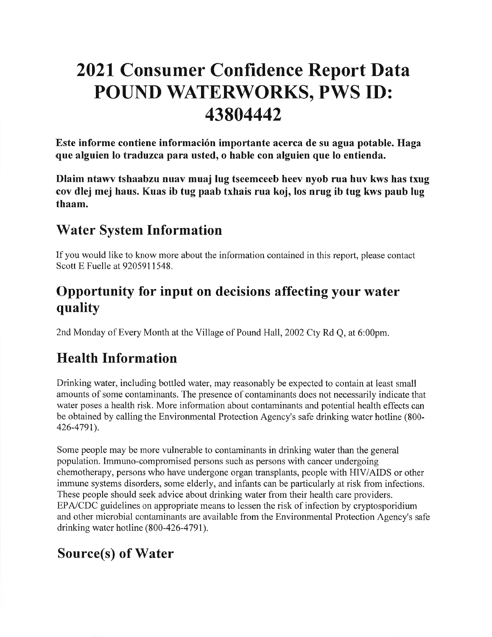# 2021 Consumer Confidence Report Data POUND WATERWORKS, PWS ID:43804442

Este informe contiene información importante acerca de su agua potable. Haga que alguien lo traduzca para usted, o hable con alguien que lo entienda.

Dlaim ntawv tshaabzu nuav muaj lug tseemceeb heev nyob rua huv kws has txug cov dlej mej haus. Kuas ib tug paab txhais rua koj, los nrug ib tug kws paub lugthaam.

# Water System Information

If you would like to know more about the information contained in this report, please contactScott E Fuelle at 9205911548.

# Opportunity for input on decisions affecting your waterquality

2nd Monday of Every Month at the Village of Pound Hall,2002 Cty Rd Q, at 6:00pm.

# Health Information

Drinking water, including bottled water, may reasonably be expected to contain at least small amounts of some contaminants. The presence of contaminants does not necessarily indicate that water poses a health risk. More information about contaminants and potential health effects can be obtained by calling the Environmental Protection Agency's safe drinking water hotline (800-426-4791).

Some people may be more vulnerable to contaminants in drinking water than the general population. Immuno-compromised persons such as persons with cancer undergoing chemotherapy, persons who have undergone organ transplants, people with HIV/AIDS or other immune systems disorders, some elderly, and infants can be particularly at risk from infections.These people should seek advice about drinking water from their health care providers.EPA/CDC guidelines on appropriate means to lessen the risk of infection by cryptosporidium and other microbial contaminants are available from the Environmental Protection Agency's safedrinking water hotline  $(800-426-4791)$ .

# Source(s) of Water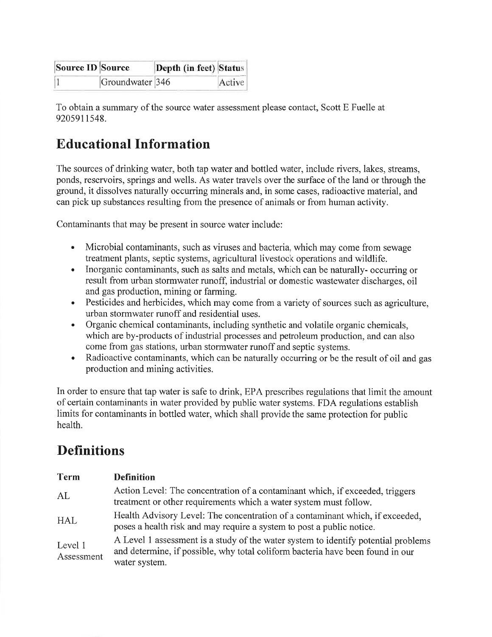| Source ID Source |                 | Depth (in feet) Status |        |
|------------------|-----------------|------------------------|--------|
|                  | Groundwater 346 |                        | Active |

To obtain a summary of the source water assessment please contact, Scott E Fuelle at9205911548.

# Educational Inform ation

The sources of drinking water, both tap water and bottled water, include rivers, lakes, streams, ponds, reservoirs, springs and wells. As water travels over the surface of the land or through theground, it dissolves naturally occurring minerals and, in some cases, radioactive material, andcan pick up substances resulting from the presence of animals or from human activity.

Contaminants that may be present in source water include:

- Microbial contaminants, such as viruses and bacteria, which may come from sewagetreatment plants, septic systems, agricultural livestock operations and wildlife.a
- Inorganic contaminants, such as salts and metals, which can be naturally- occurring or result from urban stormwater runoff, industrial or domestic wastewater discharges, oiland gas production, mining or farming.a
- Pesticides and herbicides, which may come from a variety of sources such as agriculture urban stormwater runoff and residential uses.a
- Organic chemical contaminants, including synthetic and volatile organic chemicals, which are by-products of industrial processes and petroleum production, and can alsocome from gas stations, urban stormwater runoff and septic systems.a
- Radioactive contaminants, which can be naturally occurring or be the result of oil and gasproduction and mining activities.a

In order to ensure that tap water is safe to drink, EPA prescribes regulations that limit the amountof certain contaminants in water provided by public water systems. FDA regulations establishlimits for contaminants in bottled water, which shall provide the same protection for publichealth.

# **Definitions**

| <b>Term</b>           | <b>Definition</b>                                                                                                                                                                     |
|-----------------------|---------------------------------------------------------------------------------------------------------------------------------------------------------------------------------------|
| AL                    | Action Level: The concentration of a contaminant which, if exceeded, triggers<br>treatment or other requirements which a water system must follow.                                    |
| <b>HAL</b>            | Health Advisory Level: The concentration of a contaminant which, if exceeded,<br>poses a health risk and may require a system to post a public notice.                                |
| Level 1<br>Assessment | A Level 1 assessment is a study of the water system to identify potential problems<br>and determine, if possible, why total coliform bacteria have been found in our<br>water system. |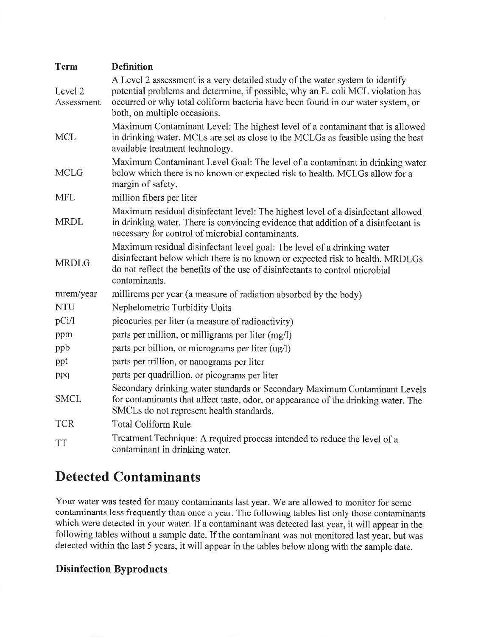| <b>Term</b>           | <b>Definition</b>                                                                                                                                                                                                                                                                   |
|-----------------------|-------------------------------------------------------------------------------------------------------------------------------------------------------------------------------------------------------------------------------------------------------------------------------------|
| Level 2<br>Assessment | A Level 2 assessment is a very detailed study of the water system to identify<br>potential problems and determine, if possible, why an E. coli MCL violation has<br>occurred or why total coliform bacteria have been found in our water system, or<br>both, on multiple occasions. |
| <b>MCL</b>            | Maximum Contaminant Level: The highest level of a contaminant that is allowed<br>in drinking water. MCLs are set as close to the MCLGs as feasible using the best<br>available treatment technology.                                                                                |
| <b>MCLG</b>           | Maximum Contaminant Level Goal: The level of a contaminant in drinking water<br>below which there is no known or expected risk to health. MCLGs allow for a<br>margin of safety.                                                                                                    |
| <b>MFL</b>            | million fibers per liter                                                                                                                                                                                                                                                            |
| <b>MRDL</b>           | Maximum residual disinfectant level: The highest level of a disinfectant allowed<br>in drinking water. There is convincing evidence that addition of a disinfectant is<br>necessary for control of microbial contaminants.                                                          |
| <b>MRDLG</b>          | Maximum residual disinfectant level goal: The level of a drinking water<br>disinfectant below which there is no known or expected risk to health. MRDLGs<br>do not reflect the benefits of the use of disinfectants to control microbial<br>contaminants.                           |
| mrem/year             | millirems per year (a measure of radiation absorbed by the body)                                                                                                                                                                                                                    |
| <b>NTU</b>            | Nephelometric Turbidity Units                                                                                                                                                                                                                                                       |
| pCi/l                 | picocuries per liter (a measure of radioactivity)                                                                                                                                                                                                                                   |
| ppm                   | parts per million, or milligrams per liter (mg/l)                                                                                                                                                                                                                                   |
| ppb                   | parts per billion, or micrograms per liter (ug/l)                                                                                                                                                                                                                                   |
| ppt                   | parts per trillion, or nanograms per liter                                                                                                                                                                                                                                          |
| ppq                   | parts per quadrillion, or picograms per liter                                                                                                                                                                                                                                       |
| <b>SMCL</b>           | Secondary drinking water standards or Secondary Maximum Contaminant Levels<br>for contaminants that affect taste, odor, or appearance of the drinking water. The<br>SMCLs do not represent health standards.                                                                        |
| <b>TCR</b>            | <b>Total Coliform Rule</b>                                                                                                                                                                                                                                                          |
| <b>TT</b>             | Treatment Technique: A required process intended to reduce the level of a<br>contaminant in drinking water.                                                                                                                                                                         |

### Detected Contaminants

Your water was tested for many contaminants last year. We are allowed to monitor for some contaminants less frequently than once a year. The following tables list only those contaminants which were detected in your water. If a contaminant was detected last year, it will appear in the following tables without a sample date. If the contaminant was not monitored last year, but wasdetected within the last 5 years, it will appear in the tables below along with the sample date.

#### Disinfection Byproducts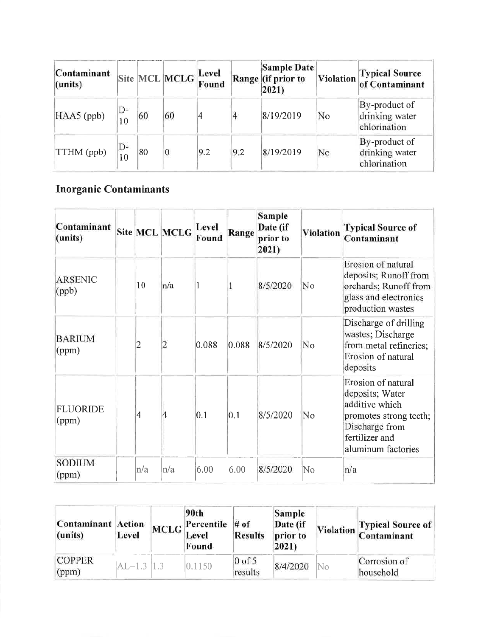| Contaminant<br>(units) |              |    | Site MCL MCLG  | Level<br>Found |     | Sample Date<br>Range (if prior to<br>2021) | Violation | <b>Typical Source<br/>of Contaminant</b>        |
|------------------------|--------------|----|----------------|----------------|-----|--------------------------------------------|-----------|-------------------------------------------------|
| HAA5 (ppb)             | D-<br>10     | 60 | 60             | 4              | 4   | 8/19/2019                                  | No        | By-product of<br>drinking water<br>chlorination |
| TTHM (ppb)             | D-<br>$10\,$ | 80 | $\overline{0}$ | 9.2            | 9.2 | 8/19/2019                                  | No        | By-product of<br>drinking water<br>chlorination |

# **Inorganic Contaminants**

| Contaminant<br>(units)   |                | Site MCL MCLG  | Level<br>Found | Range | Sample<br>Date (if<br>prior to<br>2021) | <b>Violation</b> | <b>Typical Source of</b><br>Contaminant                                                                                                     |
|--------------------------|----------------|----------------|----------------|-------|-----------------------------------------|------------------|---------------------------------------------------------------------------------------------------------------------------------------------|
| <b>ARSENIC</b><br>(ppb)  | 10             | n/a            |                | 1     | 8/5/2020                                | No               | Erosion of natural<br>deposits; Runoff from<br>orchards; Runoff from<br>glass and electronics<br>production wastes                          |
| <b>BARIUM</b><br>(ppm)   | $\overline{2}$ | $\overline{c}$ | 0.088          | 0.088 | 8/5/2020                                | No               | Discharge of drilling<br>wastes; Discharge<br>from metal refineries;<br>Erosion of natural<br>deposits                                      |
| <b>FLUORIDE</b><br>(ppm) | $\overline{4}$ | $\overline{4}$ | 0.1            | 0.1   | 8/5/2020                                | No               | Erosion of natural<br>deposits; Water<br>additive which<br>promotes strong teeth;<br>Discharge from<br>fertilizer and<br>aluminum factories |
| <b>SODIUM</b><br>(ppm)   | n/a            | $\ln/a$        | 6.00           | 6.00  | 8/5/2020                                | No               | n/a                                                                                                                                         |

| <b>Contaminant</b> Action<br>(units) | Level          | 90th<br>$\sqrt{P}$ Percentile # of<br><b>MCLG</b> Level<br>Found | <b>Results</b>      | Sample<br>Date (if<br>prior to<br>2021) |    | Violation Typical Source of |
|--------------------------------------|----------------|------------------------------------------------------------------|---------------------|-----------------------------------------|----|-----------------------------|
| <b>COPPER</b><br>(ppm)               | $ AL=1.3 1.3 $ | 0.1150                                                           | $0$ of 5<br>results | 8/4/2020                                | No | Corrosion of<br>household   |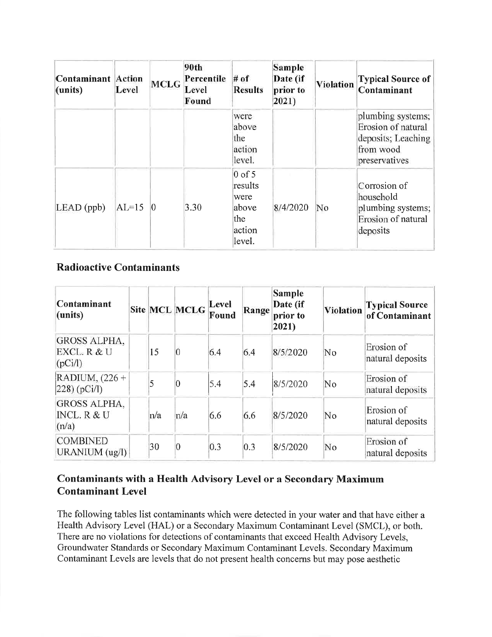| <b>Contaminant</b> Action<br>(units) | Level   | <b>MCLG</b> | 90th<br>Percentile<br>Level<br>Found | $#$ of<br><b>Results</b>                                        | Sample<br>Date (if<br>prior to<br>2021) | <b>Violation</b> | <b>Typical Source of</b><br>Contaminant                                                     |
|--------------------------------------|---------|-------------|--------------------------------------|-----------------------------------------------------------------|-----------------------------------------|------------------|---------------------------------------------------------------------------------------------|
|                                      |         |             |                                      | were<br>above<br>the<br>action<br>level.                        |                                         |                  | plumbing systems;<br>Erosion of natural<br>deposits; Leaching<br>from wood<br>preservatives |
| $LEAD$ (ppb)                         | $AL=15$ | Ю           | 3.30                                 | $0$ of 5<br>results<br>were<br>above<br>the<br>action<br>level. | 8/4/2020                                | No               | Corrosion of<br>household<br>plumbing systems;<br>Erosion of natural<br>deposits            |

#### **Radioactive Contaminants**

| Contaminant<br>$ $ (units)                    |     | Site MCL MCLG   | Level<br>Found | Range | <b>Sample</b><br>Date (if<br>prior to<br>$ 2021\rangle$ | Violation | Typical Source<br> of Contaminant |
|-----------------------------------------------|-----|-----------------|----------------|-------|---------------------------------------------------------|-----------|-----------------------------------|
| <b>GROSS ALPHA,</b><br>EXCL. R & U<br>(pCi/l) | 15  | $\overline{0}$  | 6.4            | 6.4   | 8/5/2020                                                | No        | Erosion of<br>natural deposits    |
| RADIUM, $(226 +$<br>[228)(pCi/l]              | 5   | $\overline{0}$  | 5.4            | 5.4   | 8/5/2020                                                | No        | Erosion of<br>natural deposits    |
| <b>GROSS ALPHA.</b><br>INCL. R & U<br>(n/a)   | n/a | n/a             | 6.6            | 6.6   | 8/5/2020                                                | No        | Erosion of<br>natural deposits    |
| <b>COMBINED</b><br>URANIUM (ug/l)             | 30  | $\vert 0 \vert$ | 0.3            | 0.3   | 8/5/2020                                                | No        | Erosion of<br>natural deposits    |

#### Contaminants with a Health Advisory Level or a Secondary Maximum **Contaminant Level**

The following tables list contaminants which were detected in your water and that have either a Health Advisory Level (HAL) or a Secondary Maximum Contaminant Level (SMCL), or both. There are no violations for detections of contaminants that exceed Health Advisory Levels, Groundwater Standards or Secondary Maximum Contaminant Levels. Secondary Maximum Contaminant Levels are levels that do not present health concerns but may pose aesthetic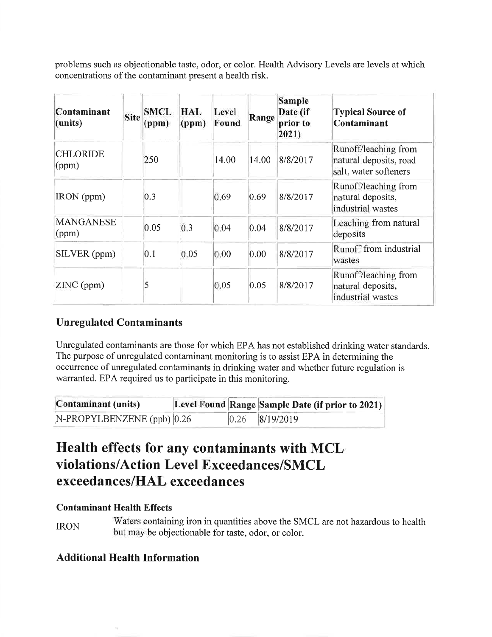problems such as objectionable taste, odor, or color. Health Advisory Levels are levels at which concentrations of the contaminant present a health risk.

| Contaminant<br>(units)    | <b>Site</b> | <b>SMCL</b><br>(ppm) | HAL<br>(ppm) | Level<br>Found | Range | Sample<br>Date (if<br>prior to<br>2021) | <b>Typical Source of</b><br>Contaminant                                 |
|---------------------------|-------------|----------------------|--------------|----------------|-------|-----------------------------------------|-------------------------------------------------------------------------|
| <b>CHLORIDE</b><br>(ppm)  |             | 250                  |              | 14.00          | 14.00 | 8/8/2017                                | Runoff/leaching from<br>natural deposits, road<br>salt, water softeners |
| IRON (ppm)                |             | 0.3                  |              | 0.69           | 0.69  | 8/8/2017                                | Runoff/leaching from<br>natural deposits,<br>industrial wastes          |
| <b>MANGANESE</b><br>(ppm) |             | 0.05                 | 0.3          | 0.04           | 0.04  | 8/8/2017                                | Leaching from natural<br>deposits                                       |
| SILVER (ppm)              |             | 0.1                  | 0.05         | 0.00           | 0.00  | 8/8/2017                                | Runoff from industrial<br>wastes                                        |
| ZINC (ppm)                |             | 5                    |              | 0.05           | 0.05  | 8/8/2017                                | Runoff/leaching from<br>natural deposits,<br>industrial wastes          |

#### **Unregulated Contaminants**

Unregulated contaminants are those for which EPA has not established drinking water standards. The purpose of unregulated contaminant monitoring is to assist EPA in determining the occurrence of unregulated contaminants in drinking water and whether future regulation is warranted. EPA required us to participate in this monitoring.

| Contaminant (units)              |      | Level Found Range Sample Date (if prior to 2021) |
|----------------------------------|------|--------------------------------------------------|
| $N-PROPYLBENZENE$ (ppb) $ 0.26 $ | 0.26 | 8/19/2019                                        |

# Health effects for any contaminants with MCL violations/Action Level Exceedances/SMCL exceedances/HAL exceedances

#### **Contaminant Health Effects**

**IRON** 

Waters containing iron in quantities above the SMCL are not hazardous to health but may be objectionable for taste, odor, or color.

#### **Additional Health Information**